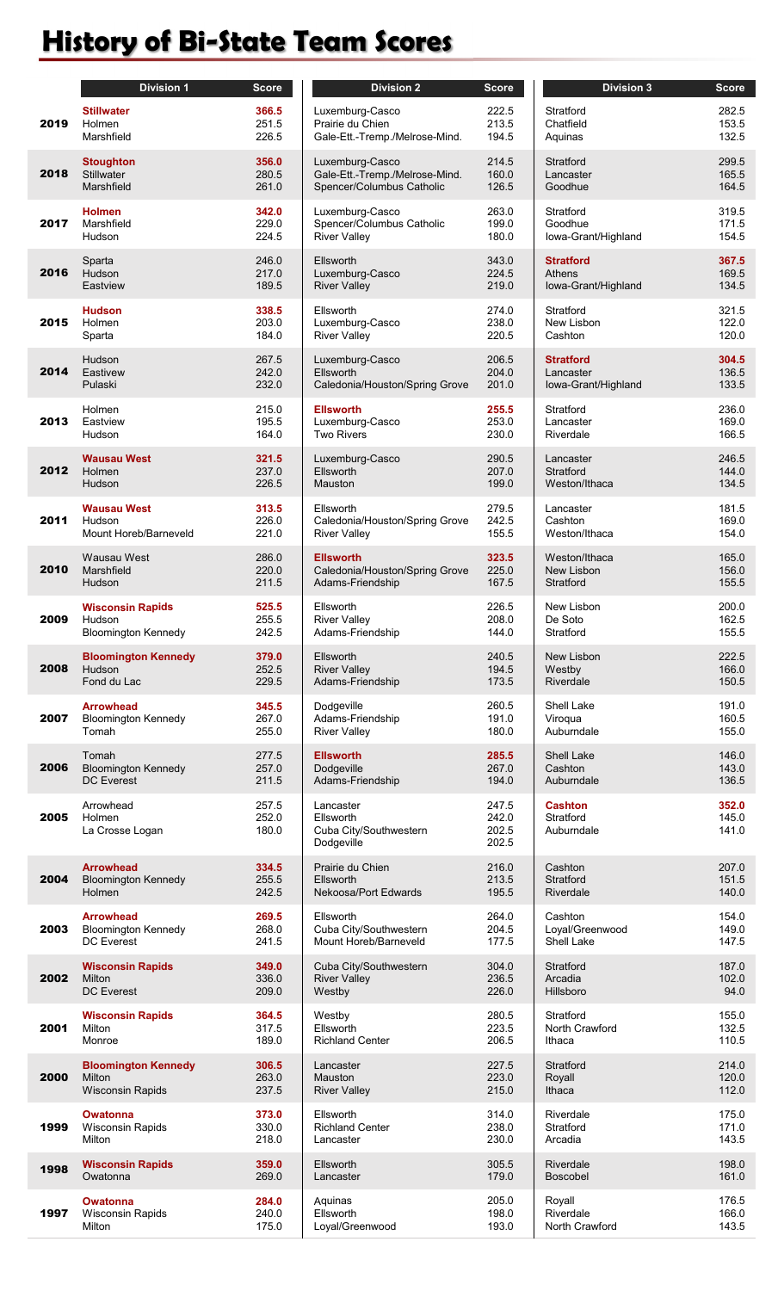## **History of Bi-State Team Scores**

|      | <b>Division 1</b>                                                   | Score                   |
|------|---------------------------------------------------------------------|-------------------------|
| 2019 | Stillwater<br>Holmen<br>Marshfield                                  | 366.5<br>251.5<br>226.5 |
| 2018 | <b>Stoughton</b><br><b>Stillwater</b><br>Marshfield                 | 356.0<br>280.5<br>261.0 |
| 2017 | <b>Holmen</b><br>Marshfield<br>Hudson                               | 342.0<br>229.0<br>224.5 |
| 2016 | Sparta<br>Hudson<br>Eastview                                        | 246.0<br>217.0<br>189.5 |
| 2015 | <b>Hudson</b><br>Holmen<br>Sparta                                   | 338.5<br>203.0<br>184.0 |
| 2014 | Hudson<br>Eastivew<br>Pulaski                                       | 267.5<br>242.0<br>232.0 |
| 2013 | Holmen<br>Eastview<br>Hudson                                        | 215.0<br>195.5<br>164.0 |
| 2012 | <b>Wausau West</b><br>Holmen<br>Hudson                              | 321.5<br>237.0<br>226.5 |
| 2011 | <b>Wausau West</b><br>Hudson<br>Mount Horeb/Barneveld               | 313.5<br>226.0<br>221.0 |
| 2010 | Wausau West<br>Marshfield<br>Hudson                                 | 286.0<br>220.0<br>211.5 |
| 2009 | <b>Wisconsin Rapids</b><br>Hudson<br><b>Bloomington Kennedy</b>     | 525.5<br>255.5<br>242.5 |
| 2008 | <b>Bloomington Kennedy</b><br>Hudson<br>Fond du Lac                 | 379.0<br>252.5<br>229.5 |
| 2007 | <b>Arrowhead</b><br><b>Bloomington Kennedy</b><br>Tomah             | 345.5<br>267.0<br>255.0 |
| 2006 | Tomah<br><b>Bloomington Kennedy</b><br><b>DC</b> Everest            | 277.5<br>257.0<br>211.5 |
| 2005 | Arrowhead<br>Holmen<br>La Crosse Logan                              | 257.5<br>252.0<br>180.0 |
| 2004 | <b>Arrowhead</b><br><b>Bloomington Kennedy</b><br>Holmen            | 334.5<br>255.5<br>242.5 |
| 2003 | <b>Arrowhead</b><br><b>Bloomington Kennedy</b><br><b>DC</b> Everest | 269.5<br>268.0<br>241.5 |
| 2002 | <b>Wisconsin Rapids</b><br>Milton<br><b>DC</b> Everest              | 349.0<br>336.0<br>209.0 |
| 2001 | <b>Wisconsin Rapids</b><br>Milton<br>Monroe                         | 364.5<br>317.5<br>189.0 |
| 2000 | <b>Bloomington Kennedy</b><br>Milton<br><b>Wisconsin Rapids</b>     | 306.5<br>263.0<br>237.5 |
| 1999 | <b>Owatonna</b><br><b>Wisconsin Rapids</b><br>Milton                | 373.0<br>330.0<br>218.0 |
| 1998 | <b>Wisconsin Rapids</b><br>Owatonna                                 | 359.0<br>269.0          |
| 1997 | Owatonna<br><b>Wisconsin Rapids</b><br>Milton                       | 284.0<br>240.0<br>175 Q |

|      | <b>Division 1</b>                      | <b>Score</b>            | <b>Division 2</b>                                              | <b>Score</b>                     | <b>Division 3</b>                         | Score                   |
|------|----------------------------------------|-------------------------|----------------------------------------------------------------|----------------------------------|-------------------------------------------|-------------------------|
| 2019 | <b>Stillwater</b>                      | 366.5                   | Luxemburg-Casco                                                | 222.5                            | Stratford                                 | 282.5                   |
|      | Holmen                                 | 251.5                   | Prairie du Chien                                               | 213.5                            | Chatfield                                 | 153.5                   |
|      | Marshfield                             | 226.5                   | Gale-Ett.-Tremp./Melrose-Mind.                                 | 194.5                            | Aquinas                                   | 132.5                   |
| 2018 | <b>Stoughton</b>                       | 356.0                   | Luxemburg-Casco                                                | 214.5                            | Stratford                                 | 299.5                   |
|      | <b>Stillwater</b>                      | 280.5                   | Gale-Ett.-Tremp./Melrose-Mind.                                 | 160.0                            | Lancaster                                 | 165.5                   |
|      | Marshfield                             | 261.0                   | Spencer/Columbus Catholic                                      | 126.5                            | Goodhue                                   | 164.5                   |
| 2017 | <b>Holmen</b>                          | 342.0                   | Luxemburg-Casco                                                | 263.0                            | Stratford                                 | 319.5                   |
|      | Marshfield                             | 229.0                   | Spencer/Columbus Catholic                                      | 199.0                            | Goodhue                                   | 171.5                   |
|      | Hudson                                 | 224.5                   | <b>River Valley</b>                                            | 180.0                            | lowa-Grant/Highland                       | 154.5                   |
| 2016 | Sparta                                 | 246.0                   | Ellsworth                                                      | 343.0                            | <b>Stratford</b>                          | 367.5                   |
|      | Hudson                                 | 217.0                   | Luxemburg-Casco                                                | 224.5                            | <b>Athens</b>                             | 169.5                   |
|      | Eastview                               | 189.5                   | <b>River Valley</b>                                            | 219.0                            | lowa-Grant/Highland                       | 134.5                   |
| 2015 | <b>Hudson</b>                          | 338.5                   | Ellsworth                                                      | 274.0                            | Stratford                                 | 321.5                   |
|      | Holmen                                 | 203.0                   | Luxemburg-Casco                                                | 238.0                            | New Lisbon                                | 122.0                   |
|      | Sparta                                 | 184.0                   | <b>River Valley</b>                                            | 220.5                            | Cashton                                   | 120.0                   |
| 2014 | Hudson                                 | 267.5                   | Luxemburg-Casco                                                | 206.5                            | <b>Stratford</b>                          | 304.5                   |
|      | Eastivew                               | 242.0                   | Ellsworth                                                      | 204.0                            | Lancaster                                 | 136.5                   |
|      | Pulaski                                | 232.0                   | Caledonia/Houston/Spring Grove                                 | 201.0                            | lowa-Grant/Highland                       | 133.5                   |
| 2013 | Holmen                                 | 215.0                   | <b>Ellsworth</b>                                               | 255.5                            | Stratford                                 | 236.0                   |
|      | Eastview                               | 195.5                   | Luxemburg-Casco                                                | 253.0                            | Lancaster                                 | 169.0                   |
|      | Hudson                                 | 164.0                   | <b>Two Rivers</b>                                              | 230.0                            | Riverdale                                 | 166.5                   |
| 2012 | <b>Wausau West</b>                     | 321.5                   | Luxemburg-Casco                                                | 290.5                            | Lancaster                                 | 246.5                   |
|      | Holmen                                 | 237.0                   | Ellsworth                                                      | 207.0                            | Stratford                                 | 144.0                   |
|      | Hudson                                 | 226.5                   | Mauston                                                        | 199.0                            | Weston/Ithaca                             | 134.5                   |
| 2011 | <b>Wausau West</b>                     | 313.5                   | Ellsworth                                                      | 279.5                            | Lancaster                                 | 181.5                   |
|      | Hudson                                 | 226.0                   | Caledonia/Houston/Spring Grove                                 | 242.5                            | Cashton                                   | 169.0                   |
|      | Mount Horeb/Barneveld                  | 221.0                   | <b>River Valley</b>                                            | 155.5                            | Weston/Ithaca                             | 154.0                   |
| 2010 | Wausau West                            | 286.0                   | <b>Ellsworth</b>                                               | 323.5                            | Weston/Ithaca                             | 165.0                   |
|      | Marshfield                             | 220.0                   | Caledonia/Houston/Spring Grove                                 | 225.0                            | New Lisbon                                | 156.0                   |
|      | Hudson                                 | 211.5                   | Adams-Friendship                                               | 167.5                            | Stratford                                 | 155.5                   |
| 2009 | <b>Wisconsin Rapids</b>                | 525.5                   | Ellsworth                                                      | 226.5                            | New Lisbon                                | 200.0                   |
|      | Hudson                                 | 255.5                   | <b>River Valley</b>                                            | 208.0                            | De Soto                                   | 162.5                   |
|      | <b>Bloomington Kennedy</b>             | 242.5                   | Adams-Friendship                                               | 144.0                            | Stratford                                 | 155.5                   |
| 2008 | <b>Bloomington Kennedy</b>             | 379.0                   | <b>Ellsworth</b>                                               | 240.5                            | New Lisbon                                | 222.5                   |
|      | Hudson                                 | 252.5                   | <b>River Valley</b>                                            | 194.5                            | Westby                                    | 166.0                   |
|      | Fond du Lac                            | 229.5                   | Adams-Friendship                                               | 173.5                            | Riverdale                                 | 150.5                   |
| 2007 | <b>Arrowhead</b>                       | 345.5                   | Dodgeville                                                     | 260.5                            | Shell Lake                                | 191.0                   |
|      | <b>Bloomington Kennedy</b>             | 267.0                   | Adams-Friendship                                               | 191.0                            | Viroqua                                   | 160.5                   |
|      | Tomah                                  | 255.0                   | <b>River Valley</b>                                            | 180.0                            | Auburndale                                | 155.0                   |
| 2006 | Tomah                                  | 277.5                   | <b>Ellsworth</b>                                               | 285.5                            | <b>Shell Lake</b>                         | 146.0                   |
|      | <b>Bloomington Kennedy</b>             | 257.0                   | Dodgeville                                                     | 267.0                            | Cashton                                   | 143.0                   |
|      | <b>DC Everest</b>                      | 211.5                   | Adams-Friendship                                               | 194.0                            | Auburndale                                | 136.5                   |
| 2005 | Arrowhead<br>Holmen<br>La Crosse Logan | 257.5<br>252.0<br>180.0 | Lancaster<br>Ellsworth<br>Cuba City/Southwestern<br>Dodgeville | 247.5<br>242.0<br>202.5<br>202.5 | <b>Cashton</b><br>Stratford<br>Auburndale | 352.0<br>145.0<br>141.0 |
| 2004 | <b>Arrowhead</b>                       | 334.5                   | Prairie du Chien                                               | 216.0                            | Cashton                                   | 207.0                   |
|      | <b>Bloomington Kennedy</b>             | 255.5                   | Ellsworth                                                      | 213.5                            | Stratford                                 | 151.5                   |
|      | Holmen                                 | 242.5                   | Nekoosa/Port Edwards                                           | 195.5                            | Riverdale                                 | 140.0                   |
| 2003 | <b>Arrowhead</b>                       | 269.5                   | Ellsworth                                                      | 264.0                            | Cashton                                   | 154.0                   |
|      | <b>Bloomington Kennedy</b>             | 268.0                   | Cuba City/Southwestern                                         | 204.5                            | Loyal/Greenwood                           | 149.0                   |
|      | <b>DC</b> Everest                      | 241.5                   | Mount Horeb/Barneveld                                          | 177.5                            | Shell Lake                                | 147.5                   |
| 2002 | <b>Wisconsin Rapids</b>                | 349.0                   | Cuba City/Southwestern                                         | 304.0                            | Stratford                                 | 187.0                   |
|      | Milton                                 | 336.0                   | <b>River Valley</b>                                            | 236.5                            | Arcadia                                   | 102.0                   |
|      | <b>DC Everest</b>                      | 209.0                   | Westby                                                         | 226.0                            | Hillsboro                                 | 94.0                    |
| 2001 | <b>Wisconsin Rapids</b>                | 364.5                   | Westby                                                         | 280.5                            | Stratford                                 | 155.0                   |
|      | Milton                                 | 317.5                   | Ellsworth                                                      | 223.5                            | North Crawford                            | 132.5                   |
|      | Monroe                                 | 189.0                   | <b>Richland Center</b>                                         | 206.5                            | Ithaca                                    | 110.5                   |
| 2000 | <b>Bloomington Kennedy</b>             | 306.5                   | Lancaster                                                      | 227.5                            | Stratford                                 | 214.0                   |
|      | Milton                                 | 263.0                   | Mauston                                                        | 223.0                            | Royall                                    | 120.0                   |
|      | <b>Wisconsin Rapids</b>                | 237.5                   | <b>River Valley</b>                                            | 215.0                            | Ithaca                                    | 112.0                   |
| 1999 | <b>Owatonna</b>                        | 373.0                   | Ellsworth                                                      | 314.0                            | Riverdale                                 | 175.0                   |
|      | <b>Wisconsin Rapids</b>                | 330.0                   | <b>Richland Center</b>                                         | 238.0                            | Stratford                                 | 171.0                   |
|      | Milton                                 | 218.0                   | Lancaster                                                      | 230.0                            | Arcadia                                   | 143.5                   |
| 1998 | <b>Wisconsin Rapids</b>                | 359.0                   | Ellsworth                                                      | 305.5                            | <b>Riverdale</b>                          | 198.0                   |
|      | Owatonna                               | 269.0                   | Lancaster                                                      | 179.0                            | <b>Boscobel</b>                           | 161.0                   |
| 1997 | <b>Owatonna</b>                        | 284.0                   | Aquinas                                                        | 205.0                            | Royall                                    | 176.5                   |
|      | <b>Wisconsin Rapids</b>                | 240.0                   | Ellsworth                                                      | 198.0                            | Riverdale                                 | 166.0                   |
|      | Milton                                 | 175.0                   | Loyal/Greenwood                                                | 193.0                            | North Crawford                            | 143.5                   |
|      |                                        |                         |                                                                |                                  |                                           |                         |